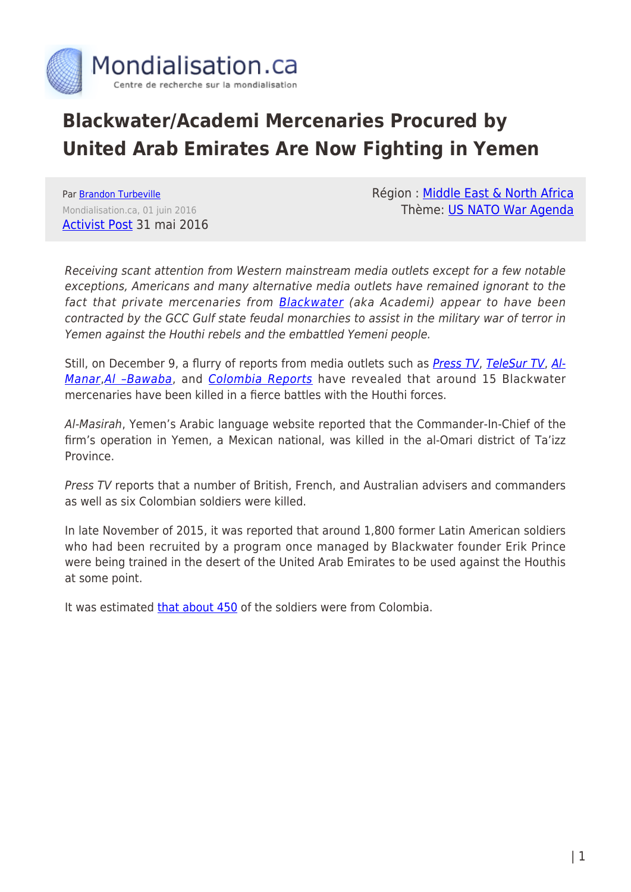

## **Blackwater/Academi Mercenaries Procured by United Arab Emirates Are Now Fighting in Yemen**

Par [Brandon Turbeville](https://www.mondialisation.ca/author/brandon-turbeville) Mondialisation.ca, 01 juin 2016 [Activist Post](http://www.activistpost.com/2016/05/blackwateracademi-mercenaries-procured-by-united-arab-emirates-are-now-fighting-in-yemen.html) 31 mai 2016 Région : [Middle East & North Africa](https://www.mondialisation.ca/region/middle-east) Thème: [US NATO War Agenda](https://www.mondialisation.ca/theme/us-nato-war-agenda)

Receiving scant attention from Western mainstream media outlets except for a few notable exceptions, Americans and many alternative media outlets have remained ignorant to the fact that private mercenaries from **[Blackwater](http://www.activistpost.com/product/156858394X/US/permacultucom-20/?cart=y)** (aka Academi) appear to have been contracted by the GCC Gulf state feudal monarchies to assist in the military war of terror in Yemen against the Houthi rebels and the embattled Yemeni people.

Still, on December 9, a flurry of reports from media outlets such as *[Press TV](http://www.presstv.ir/Detail/2015/12/10/441071/Yemen-Blacwater-UAE-Saudi-Arabia-Taizz-Hadi-Sudan)*, [TeleSur TV](http://www.telesurtv.net/english/news/Mexican-Colombian-Blackwater-Mercenaries-Killed-in-Yemen--20151210-0025.html), [Al-](http://www.almanar.com.lb/english/adetails.php?fromval=1&cid=31&frid=31&eid=243747)[Manar](http://www.almanar.com.lb/english/adetails.php?fromval=1&cid=31&frid=31&eid=243747), AI - Bawaba, and [Colombia Reports](http://colombiareports.com/6-colombian-mercenaries-killed-in-yemen/) have revealed that around 15 Blackwater mercenaries have been killed in a fierce battles with the Houthi forces.

Al-Masirah, Yemen's Arabic language website reported that the Commander-In-Chief of the firm's operation in Yemen, a Mexican national, was killed in the al-Omari district of Ta'izz Province.

Press TV reports that a number of British, French, and Australian advisers and commanders as well as six Colombian soldiers were killed.

In late November of 2015, it was reported that around 1,800 former Latin American soldiers who had been recruited by a program once managed by Blackwater founder Erik Prince were being trained in the desert of the United Arab Emirates to be used against the Houthis at some point.

It was estimated [that about 450](http://www.telesurtv.net/english/news/450-Colombian-Ex-Soldiers-Sent-by-UAE-to-Fight-Houthis-in-Yemen-20151126-0017.html) of the soldiers were from Colombia.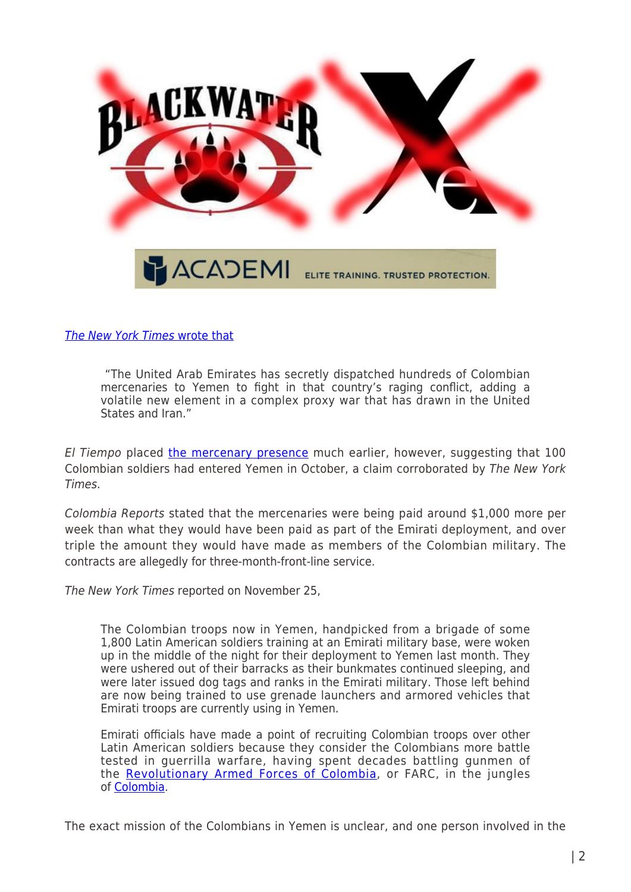

[The](http://www.nytimes.com/2015/11/26/world/middleeast/emirates-secretly-sends-colombian-mercenaries-to-fight-in-yemen.html?_r=0) [New York Times](http://www.nytimes.com/2015/11/26/world/middleeast/emirates-secretly-sends-colombian-mercenaries-to-fight-in-yemen.html?_r=0) [wrote that](http://www.nytimes.com/2015/11/26/world/middleeast/emirates-secretly-sends-colombian-mercenaries-to-fight-in-yemen.html?_r=0)

 "The United Arab Emirates has secretly dispatched hundreds of Colombian mercenaries to Yemen to fight in that country's raging conflict, adding a volatile new element in a complex proxy war that has drawn in the United States and Iran."

El Tiempo placed [the mercenary presence](http://www.brandonturbeville.com/2015/12/mercenaries-in-yemen-tied-to-blackwater.html) much earlier, however, suggesting that 100 Colombian soldiers had entered Yemen in October, a claim corroborated by The New York Times.

Colombia Reports stated that the mercenaries were being paid around \$1,000 more per week than what they would have been paid as part of the Emirati deployment, and over triple the amount they would have made as members of the Colombian military. The contracts are allegedly for three-month-front-line service.

The New York Times reported on November 25,

The Colombian troops now in Yemen, handpicked from a brigade of some 1,800 Latin American soldiers training at an Emirati military base, were woken up in the middle of the night for their deployment to Yemen last month. They were ushered out of their barracks as their bunkmates continued sleeping, and were later issued dog tags and ranks in the Emirati military. Those left behind are now being trained to use grenade launchers and armored vehicles that Emirati troops are currently using in Yemen.

Emirati officials have made a point of recruiting Colombian troops over other Latin American soldiers because they consider the Colombians more battle tested in guerrilla warfare, having spent decades battling gunmen of the [Revolutionary Armed Forces of Colombia,](http://topics.nytimes.com/top/reference/timestopics/organizations/r/revolutionary_armed_forces_of_colombia/index.html?inline=nyt-org) or FARC, in the jungles of [Colombia.](http://topics.nytimes.com/top/news/international/countriesandterritories/colombia/index.html?inline=nyt-geo)

The exact mission of the Colombians in Yemen is unclear, and one person involved in the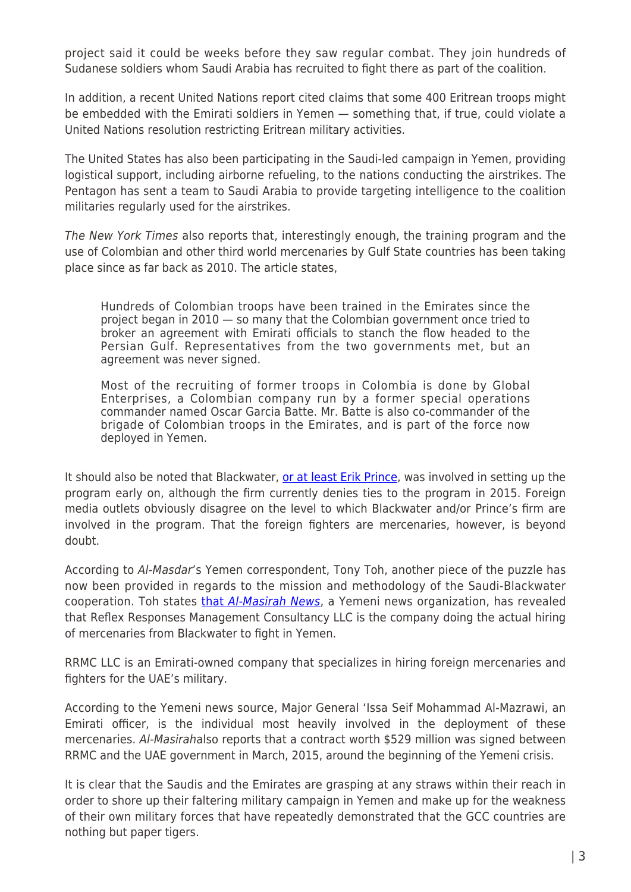project said it could be weeks before they saw regular combat. They join hundreds of Sudanese soldiers whom Saudi Arabia has recruited to fight there as part of the coalition.

In addition, a recent United Nations report cited claims that some 400 Eritrean troops might be embedded with the Emirati soldiers in Yemen — something that, if true, could violate a United Nations resolution restricting Eritrean military activities.

The United States has also been participating in the Saudi-led campaign in Yemen, providing logistical support, including airborne refueling, to the nations conducting the airstrikes. The Pentagon has sent a team to Saudi Arabia to provide targeting intelligence to the coalition militaries regularly used for the airstrikes.

The New York Times also reports that, interestingly enough, the training program and the use of Colombian and other third world mercenaries by Gulf State countries has been taking place since as far back as 2010. The article states,

Hundreds of Colombian troops have been trained in the Emirates since the project began in 2010 — so many that the Colombian government once tried to broker an agreement with Emirati officials to stanch the flow headed to the Persian Gulf. Representatives from the two governments met, but an agreement was never signed.

Most of the recruiting of former troops in Colombia is done by Global Enterprises, a Colombian company run by a former special operations commander named Oscar Garcia Batte. Mr. Batte is also co-commander of the brigade of Colombian troops in the Emirates, and is part of the force now deployed in Yemen.

It should also be noted that Blackwater, [or at least Erik Prince](http://www.nytimes.com/2011/05/15/world/middleeast/15prince.html), was involved in setting up the program early on, although the firm currently denies ties to the program in 2015. Foreign media outlets obviously disagree on the level to which Blackwater and/or Prince's firm are involved in the program. That the foreign fighters are mercenaries, however, is beyond doubt.

According to Al-Masdar's Yemen correspondent, Tony Toh, another piece of the puzzle has now been provided in regards to the mission and methodology of the Saudi-Blackwater cooperation. Toh states [that](https://www.almasdarnews.com/article/mercenary-group-yemen-identified/) [Al-Masirah News](https://www.almasdarnews.com/article/mercenary-group-yemen-identified/), a Yemeni news organization, has revealed that Reflex Responses Management Consultancy LLC is the company doing the actual hiring of mercenaries from Blackwater to fight in Yemen.

RRMC LLC is an Emirati-owned company that specializes in hiring foreign mercenaries and fighters for the UAE's military.

According to the Yemeni news source, Major General 'Issa Seif Mohammad Al-Mazrawi, an Emirati officer, is the individual most heavily involved in the deployment of these mercenaries. Al-Masirahalso reports that a contract worth \$529 million was signed between RRMC and the UAE government in March, 2015, around the beginning of the Yemeni crisis.

It is clear that the Saudis and the Emirates are grasping at any straws within their reach in order to shore up their faltering military campaign in Yemen and make up for the weakness of their own military forces that have repeatedly demonstrated that the GCC countries are nothing but paper tigers.